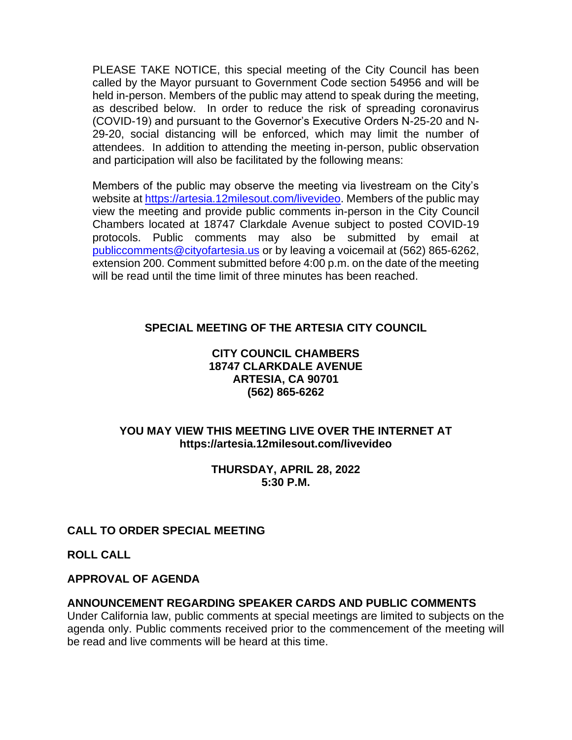PLEASE TAKE NOTICE, this special meeting of the City Council has been called by the Mayor pursuant to Government Code section 54956 and will be held in-person. Members of the public may attend to speak during the meeting, as described below. In order to reduce the risk of spreading coronavirus (COVID-19) and pursuant to the Governor's Executive Orders N-25-20 and N-29-20, social distancing will be enforced, which may limit the number of attendees. In addition to attending the meeting in-person, public observation and participation will also be facilitated by the following means:

Members of the public may observe the meeting via livestream on the City's website at [https://artesia.12milesout.com/livevideo.](https://artesia.12milesout.com/livevideo) Members of the public may view the meeting and provide public comments in-person in the City Council Chambers located at 18747 Clarkdale Avenue subject to posted COVID-19 protocols. Public comments may also be submitted by email at [publiccomments@cityofartesia.us](mailto:publiccomments@cityofartesia.us) or by leaving a voicemail at (562) 865-6262, extension 200. Comment submitted before 4:00 p.m. on the date of the meeting will be read until the time limit of three minutes has been reached.

# **SPECIAL MEETING OF THE ARTESIA CITY COUNCIL**

#### **CITY COUNCIL CHAMBERS 18747 CLARKDALE AVENUE ARTESIA, CA 90701 (562) 865-6262**

# **YOU MAY VIEW THIS MEETING LIVE OVER THE INTERNET AT https://artesia.12milesout.com/livevideo**

#### **THURSDAY, APRIL 28, 2022 5:30 P.M.**

# **CALL TO ORDER SPECIAL MEETING**

**ROLL CALL** 

# **APPROVAL OF AGENDA**

# **ANNOUNCEMENT REGARDING SPEAKER CARDS AND PUBLIC COMMENTS**

Under California law, public comments at special meetings are limited to subjects on the agenda only. Public comments received prior to the commencement of the meeting will be read and live comments will be heard at this time.